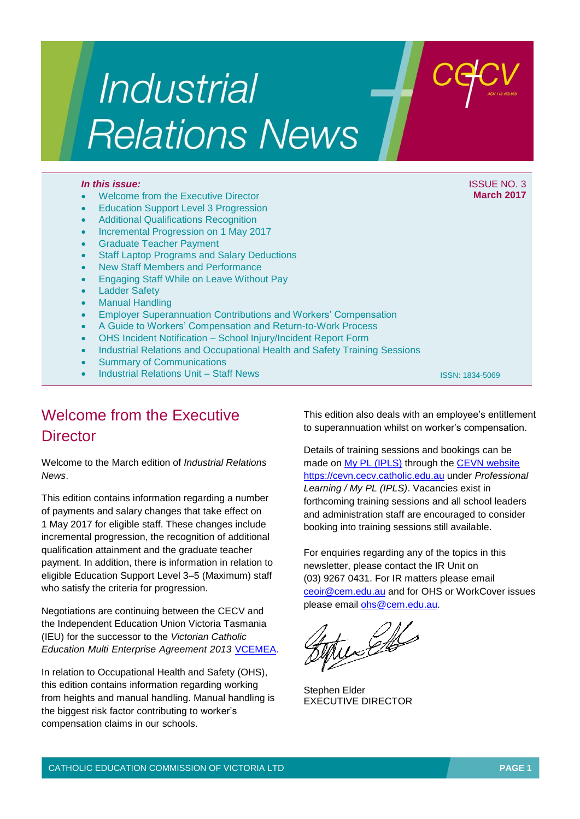# Industrial **Relations News**

- Welcome from the Executive Director
- Education Support Level 3 Progression
- Additional Qualifications Recognition
- Incremental Progression on 1 May 2017
- Graduate Teacher Payment
- Staff Laptop Programs and Salary Deductions
- New Staff Members and Performance
- Engaging Staff While on Leave Without Pay
- Ladder Safety
- Manual Handling
- Employer Superannuation Contributions and Workers' Compensation
- A Guide to Workers' Compensation and Return-to-Work Process
- OHS Incident Notification School Injury/Incident Report Form
- Industrial Relations and Occupational Health and Safety Training Sessions
- Summary of Communications
- Industrial Relations Unit Staff News

## Welcome from the Executive **Director**

Welcome to the March edition of *Industrial Relations News*.

This edition contains information regarding a number of payments and salary changes that take effect on 1 May 2017 for eligible staff. These changes include incremental progression, the recognition of additional qualification attainment and the graduate teacher payment. In addition, there is information in relation to eligible Education Support Level 3–5 (Maximum) staff who satisfy the criteria for progression.

Negotiations are continuing between the CECV and the Independent Education Union Victoria Tasmania (IEU) for the successor to the *Victorian Catholic*  **Education Multi Enterprise Agreement 2013 [VCEMEA.](http://www.cecv.catholic.edu.au/getmedia/e728ccbb-dac1-4822-9607-7c5cb8abdae9/VCEMEA_2013.aspx)** 

In relation to Occupational Health and Safety (OHS), this edition contains information regarding working from heights and manual handling. Manual handling is the biggest risk factor contributing to worker's compensation claims in our schools.

This edition also deals with an employee's entitlement to superannuation whilst on worker's compensation.

ISSN: 1834-5069

Details of training sessions and bookings can be made on [My PL \(IPLS\)](http://cevn.cecv.catholic.edu.au/ProfessionalLearning.aspx?id=7160) through the [CEVN website](http://cevn.cecv.catholic.edu.au/cevnlogin.aspx) [https://cevn.cecv.catholic.edu.au](https://cevn.cecv.catholic.edu.au/) under *Professional Learning / My PL (IPLS)*. Vacancies exist in forthcoming training sessions and all school leaders and administration staff are encouraged to consider booking into training sessions still available.

For enquiries regarding any of the topics in this newsletter, please contact the IR Unit on (03) 9267 0431. For IR matters please email [ceoir@cem.edu.au](file:///C:/Users/gpargeter/AppData/Local/Microsoft/Windows/Temporary%20Internet%20Files/Content.Outlook/AppData/Local/Microsoft/Windows/Temporary%20Internet%20Files/Content.Outlook/May/ceoir@cem.edu.au) and for OHS or WorkCover issues please email [ohs@cem.edu.au.](mailto:ohs@cem.edu.au)

EN

Stephen Elder EXECUTIVE DIRECTOR

*In this issue:* ISSUE NO. 3 **March 2017**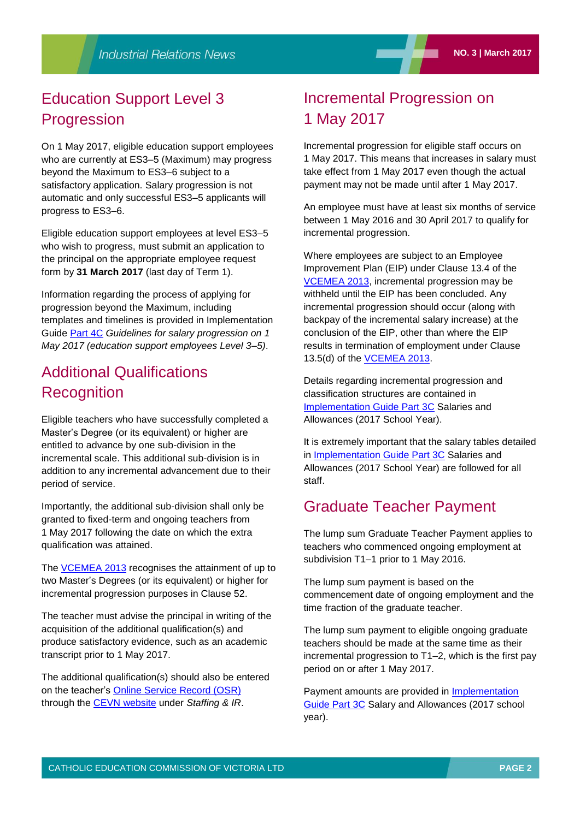### Education Support Level 3 **Progression**

On 1 May 2017, eligible education support employees who are currently at ES3–5 (Maximum) may progress beyond the Maximum to ES3–6 subject to a satisfactory application. Salary progression is not automatic and only successful ES3–5 applicants will progress to ES3–6.

Eligible education support employees at level ES3–5 who wish to progress, must submit an application to the principal on the appropriate employee request form by **31 March 2017** (last day of Term 1).

Information regarding the process of applying for progression beyond the Maximum, including templates and timelines is provided in Implementation Guide [Part 4C](http://www.cecv.catholic.edu.au/getmedia/0cee7920-842a-4da2-b36b-da274702dd76/Part-4C-Guidelines-for-salary-progression-ES3-5-170117.aspx) *Guidelines for salary progression on 1 May 2017 (education support employees Level 3–5)*.

### Additional Qualifications **Recognition**

Eligible teachers who have successfully completed a Master's Degree (or its equivalent) or higher are entitled to advance by one sub-division in the incremental scale. This additional sub-division is in addition to any incremental advancement due to their period of service.

Importantly, the additional sub-division shall only be granted to fixed-term and ongoing teachers from 1 May 2017 following the date on which the extra qualification was attained.

The [VCEMEA](http://www.cecv.catholic.edu.au/getmedia/e728ccbb-dac1-4822-9607-7c5cb8abdae9/VCEMEA_2013.aspx) 2013 recognises the attainment of up to two Master's Degrees (or its equivalent) or higher for incremental progression purposes in Clause 52.

The teacher must advise the principal in writing of the acquisition of the additional qualification(s) and produce satisfactory evidence, such as an academic transcript prior to 1 May 2017.

The additional qualification(s) should also be entered on the teacher's [Online Service Record \(OSR\)](https://cevn.cecv.catholic.edu.au/staffingir/osr.htm) through the [CEVN website](http://cevn.cecv.catholic.edu.au/cevnlogin.aspx) under *Staffing & IR*.

### Incremental Progression on 1 May 2017

Incremental progression for eligible staff occurs on 1 May 2017. This means that increases in salary must take effect from 1 May 2017 even though the actual payment may not be made until after 1 May 2017.

An employee must have at least six months of service between 1 May 2016 and 30 April 2017 to qualify for incremental progression.

Where employees are subject to an Employee Improvement Plan (EIP) under Clause 13.4 of the [VCEMEA](http://www.cecv.catholic.edu.au/getmedia/e728ccbb-dac1-4822-9607-7c5cb8abdae9/VCEMEA_2013.aspx) 2013, incremental progression may be withheld until the EIP has been concluded. Any incremental progression should occur (along with backpay of the incremental salary increase) at the conclusion of the EIP, other than where the EIP results in termination of employment under Clause 13.5(d) of the [VCEMEA](http://www.cecv.catholic.edu.au/getmedia/e728ccbb-dac1-4822-9607-7c5cb8abdae9/VCEMEA_2013.aspx) 2013.

Details regarding incremental progression and classification structures are contained in [Implementation Guide Part 3C](http://www.cecv.catholic.edu.au/getmedia/9e5b828e-4f80-4934-b3c2-a27b3c87c47b/Implementation-Guide-Part-3C.aspx) Salaries and Allowances (2017 School Year).

It is extremely important that the salary tables detailed in [Implementation Guide Part 3C](http://www.cecv.catholic.edu.au/getmedia/9e5b828e-4f80-4934-b3c2-a27b3c87c47b/Implementation-Guide-Part-3C.aspx) Salaries and Allowances (2017 School Year) are followed for all staff.

### Graduate Teacher Payment

The lump sum Graduate Teacher Payment applies to teachers who commenced ongoing employment at subdivision T1–1 prior to 1 May 2016.

The lump sum payment is based on the commencement date of ongoing employment and the time fraction of the graduate teacher.

The lump sum payment to eligible ongoing graduate teachers should be made at the same time as their incremental progression to T1–2, which is the first pay period on or after 1 May 2017.

Payment amounts are provided in **Implementation** [Guide Part 3C](http://www.cecv.catholic.edu.au/getmedia/9e5b828e-4f80-4934-b3c2-a27b3c87c47b/Implementation-Guide-Part-3C.aspx) Salary and Allowances (2017 school year).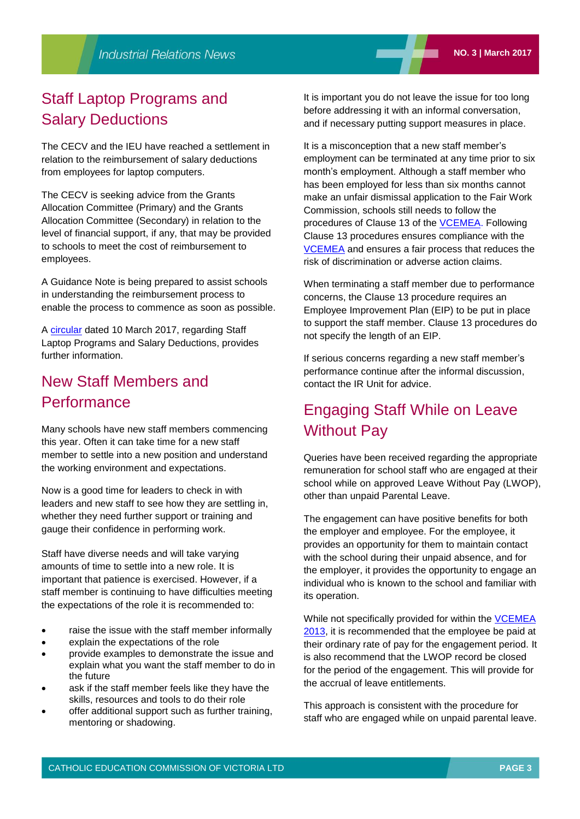### Staff Laptop Programs and Salary Deductions

The CECV and the IEU have reached a settlement in relation to the reimbursement of salary deductions from employees for laptop computers.

The CECV is seeking advice from the Grants Allocation Committee (Primary) and the Grants Allocation Committee (Secondary) in relation to the level of financial support, if any, that may be provided to schools to meet the cost of reimbursement to employees.

A Guidance Note is being prepared to assist schools in understanding the reimbursement process to enable the process to commence as soon as possible.

A [circular](https://cevn.cecv.catholic.edu.au/WorkArea/DownloadAsset.aspx?id=8589942639) dated 10 March 2017, regarding Staff Laptop Programs and Salary Deductions, provides further information.

### New Staff Members and **Performance**

Many schools have new staff members commencing this year. Often it can take time for a new staff member to settle into a new position and understand the working environment and expectations.

Now is a good time for leaders to check in with leaders and new staff to see how they are settling in, whether they need further support or training and gauge their confidence in performing work.

Staff have diverse needs and will take varying amounts of time to settle into a new role. It is important that patience is exercised. However, if a staff member is continuing to have difficulties meeting the expectations of the role it is recommended to:

- raise the issue with the staff member informally
- explain the expectations of the role
- provide examples to demonstrate the issue and explain what you want the staff member to do in the future
- ask if the staff member feels like they have the skills, resources and tools to do their role
- offer additional support such as further training, mentoring or shadowing.

It is important you do not leave the issue for too long before addressing it with an informal conversation, and if necessary putting support measures in place.

It is a misconception that a new staff member's employment can be terminated at any time prior to six month's employment. Although a staff member who has been employed for less than six months cannot make an unfair dismissal application to the Fair Work Commission, schools still needs to follow the procedures of Clause 13 of the [VCEMEA.](http://www.cecv.catholic.edu.au/getmedia/e728ccbb-dac1-4822-9607-7c5cb8abdae9/VCEMEA_2013.aspx) Following Clause 13 procedures ensures compliance with the [VCEMEA](http://www.cecv.catholic.edu.au/getmedia/e728ccbb-dac1-4822-9607-7c5cb8abdae9/VCEMEA_2013.aspx) and ensures a fair process that reduces the risk of discrimination or adverse action claims.

When terminating a staff member due to performance concerns, the Clause 13 procedure requires an Employee Improvement Plan (EIP) to be put in place to support the staff member. Clause 13 procedures do not specify the length of an EIP.

If serious concerns regarding a new staff member's performance continue after the informal discussion, contact the IR Unit for advice.

### Engaging Staff While on Leave Without Pay

Queries have been received regarding the appropriate remuneration for school staff who are engaged at their school while on approved Leave Without Pay (LWOP), other than unpaid Parental Leave.

The engagement can have positive benefits for both the employer and employee. For the employee, it provides an opportunity for them to maintain contact with the school during their unpaid absence, and for the employer, it provides the opportunity to engage an individual who is known to the school and familiar with its operation.

While not specifically provided for within the **VCEMEA** 2013, it is recommended that the employee be paid at their ordinary rate of pay for the engagement period. It is also recommend that the LWOP record be closed for the period of the engagement. This will provide for the accrual of leave entitlements.

This approach is consistent with the procedure for staff who are engaged while on unpaid parental leave.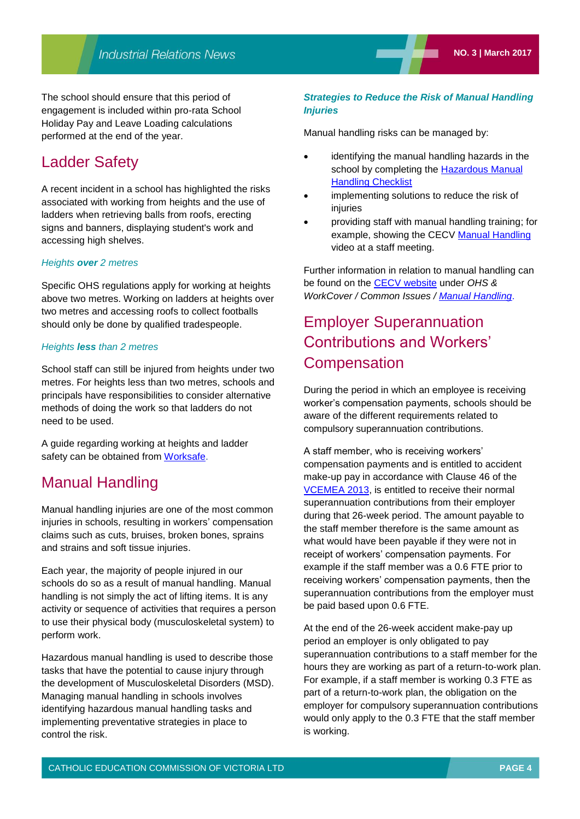The school should ensure that this period of engagement is included within pro-rata School Holiday Pay and Leave Loading calculations performed at the end of the year.

### Ladder Safety

A recent incident in a school has highlighted the risks associated with working from heights and the use of ladders when retrieving balls from roofs, erecting signs and banners, displaying student's work and accessing high shelves.

#### *Heights over 2 metres*

Specific OHS regulations apply for working at heights above two metres. Working on ladders at heights over two metres and accessing roofs to collect footballs should only be done by qualified tradespeople.

#### *Heights less than 2 metres*

School staff can still be injured from heights under two metres. For heights less than two metres, schools and principals have responsibilities to consider alternative methods of doing the work so that ladders do not need to be used.

A guide regarding working at heights and ladder safety can be obtained from [Worksafe.](http://www.worksafe.vic.gov.au/safety-and-prevention/small-business/12-ways-to-make-small-businesses-safer/working-at-heights)

### Manual Handling

Manual handling injuries are one of the most common injuries in schools, resulting in workers' compensation claims such as cuts, bruises, broken bones, sprains and strains and soft tissue injuries.

Each year, the majority of people injured in our schools do so as a result of manual handling. Manual handling is not simply the act of lifting items. It is any activity or sequence of activities that requires a person to use their physical body (musculoskeletal system) to perform work.

Hazardous manual handling is used to describe those tasks that have the potential to cause injury through the development of Musculoskeletal Disorders (MSD). Managing manual handling in schools involves identifying hazardous manual handling tasks and implementing preventative strategies in place to control the risk.

#### *Strategies to Reduce the Risk of Manual Handling Injuries*

Manual handling risks can be managed by:

- identifying the manual handling hazards in the school by completing the **Hazardous Manual** [Handling Checklist](http://www.cecv.catholic.edu.au/OHS-WorkCover/Common-Issues/Manual-Handling)
- implementing solutions to reduce the risk of injuries
- providing staff with manual handling training; for example, showing the CECV [Manual Handling](https://www.youtube.com/watch?v=UD5Vm_oo3Y8) video at a staff meeting.

Further information in relation to manual handling can be found on the [CECV website](http://www.cecv.catholic.edu.au/) under *OHS & WorkCover / Common Issues / [Manual Handling](http://www.cecv.catholic.edu.au/OHS-WorkCover/Common-Issues/Manual-Handling)*.

### Employer Superannuation Contributions and Workers' **Compensation**

During the period in which an employee is receiving worker's compensation payments, schools should be aware of the different requirements related to compulsory superannuation contributions.

A staff member, who is receiving workers' compensation payments and is entitled to accident make-up pay in accordance with Clause 46 of the [VCEMEA](http://www.cecv.catholic.edu.au/getmedia/e728ccbb-dac1-4822-9607-7c5cb8abdae9/VCEMEA_2013.aspx) 2013, is entitled to receive their normal superannuation contributions from their employer during that 26-week period. The amount payable to the staff member therefore is the same amount as what would have been payable if they were not in receipt of workers' compensation payments. For example if the staff member was a 0.6 FTE prior to receiving workers' compensation payments, then the superannuation contributions from the employer must be paid based upon 0.6 FTE.

At the end of the 26-week accident make-pay up period an employer is only obligated to pay superannuation contributions to a staff member for the hours they are working as part of a return-to-work plan. For example, if a staff member is working 0.3 FTE as part of a return-to-work plan, the obligation on the employer for compulsory superannuation contributions would only apply to the 0.3 FTE that the staff member is working.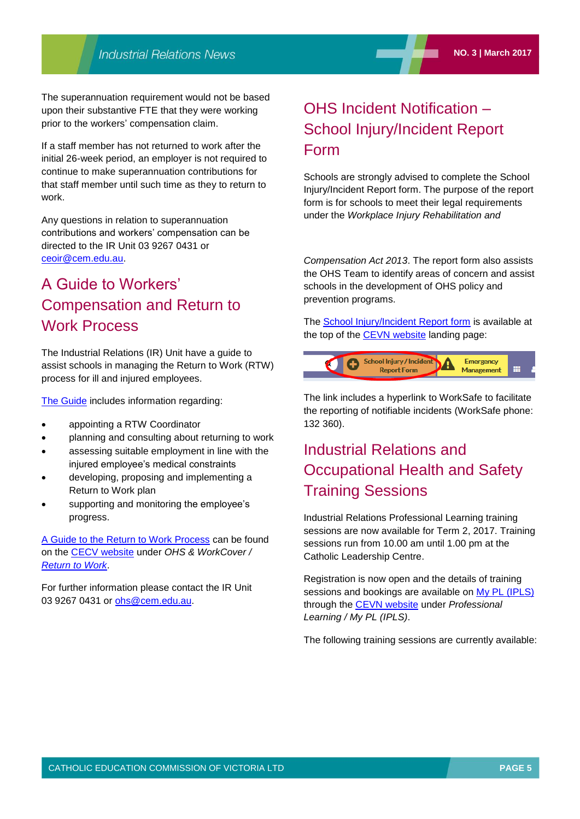The superannuation requirement would not be based upon their substantive FTE that they were working prior to the workers' compensation claim.

If a staff member has not returned to work after the initial 26-week period, an employer is not required to continue to make superannuation contributions for that staff member until such time as they to return to work.

Any questions in relation to superannuation contributions and workers' compensation can be directed to the IR Unit 03 9267 0431 or [ceoir@cem.edu.au.](file:///C:/Users/gpargeter/AppData/Local/Microsoft/Windows/Temporary%20Internet%20Files/Content.Outlook/AppData/Local/Microsoft/Windows/Temporary%20Internet%20Files/Content.Outlook/May/ceoir@cem.edu.au)

### A Guide to Workers' Compensation and Return to Work Process

The Industrial Relations (IR) Unit have a guide to assist schools in managing the Return to Work (RTW) process for ill and injured employees.

[The Guide](http://www.cecv.catholic.edu.au/getmedia/09eed7d4-7c70-4145-ae9f-51437b9c165f/CECV-Return-to-Work-Guide.aspx) includes information regarding:

- appointing a RTW Coordinator
- planning and consulting about returning to work
- assessing suitable employment in line with the injured employee's medical constraints
- developing, proposing and implementing a Return to Work plan
- supporting and monitoring the employee's progress.

[A Guide to the Return to Work Process](http://www.cecv.catholic.edu.au/getmedia/09eed7d4-7c70-4145-ae9f-51437b9c165f/CECV-Return-to-Work-Guide.aspx) can be found on the [CECV website](http://www.cecv.catholic.edu.au/) under *OHS & WorkCover / [Return to Work](http://www.cecv.catholic.edu.au/OHS-WorkCover/WorkCover/Return-to-Work)*.

For further information please contact the IR Unit 03 9267 0431 or [ohs@cem.edu.au.](mailto:ohs@cem.edu.au)

## OHS Incident Notification – School Injury/Incident Report Form

Schools are strongly advised to complete the School Injury/Incident Report form. The purpose of the report form is for schools to meet their legal requirements under the *Workplace Injury Rehabilitation and* 

*Compensation Act 2013*. The report form also assists the OHS Team to identify areas of concern and assist schools in the development of OHS policy and prevention programs.

The [School Injury/Incident Report form](http://cevn.cecv.catholic.edu.au/StaffingIR.aspx?id=5896) is available at the top of the **CEVN** website landing page:



The link includes a hyperlink to WorkSafe to facilitate the reporting of notifiable incidents (WorkSafe phone: 132 360).

### Industrial Relations and Occupational Health and Safety Training Sessions

Industrial Relations Professional Learning training sessions are now available for Term 2, 2017. Training sessions run from 10.00 am until 1.00 pm at the Catholic Leadership Centre.

Registration is now open and the details of training sessions and bookings are available on [My PL \(IPLS\)](http://cevn.cecv.catholic.edu.au/ProfessionalLearning.aspx?id=7160) through the [CEVN website](http://cevn.cecv.catholic.edu.au/cevnlogin.aspx) under *Professional Learning / My PL (IPLS)*.

The following training sessions are currently available: